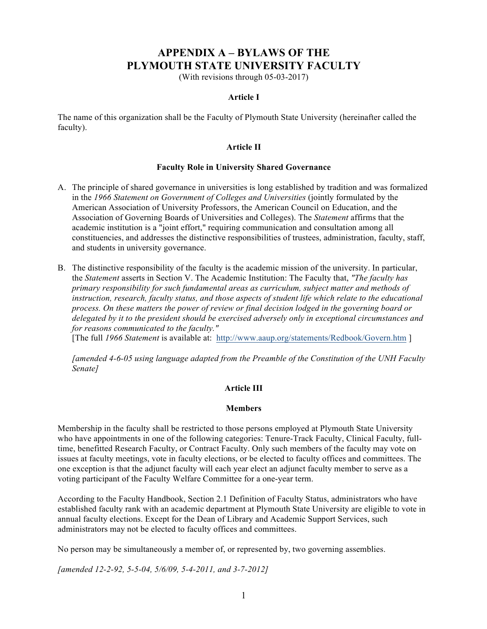# **APPENDIX A – BYLAWS OF THE PLYMOUTH STATE UNIVERSITY FACULTY**

(With revisions through 05-03-2017)

# **Article I**

The name of this organization shall be the Faculty of Plymouth State University (hereinafter called the faculty).

### **Article II**

### **Faculty Role in University Shared Governance**

- A. The principle of shared governance in universities is long established by tradition and was formalized in the *1966 Statement on Government of Colleges and Universities* (jointly formulated by the American Association of University Professors, the American Council on Education, and the Association of Governing Boards of Universities and Colleges). The *Statement* affirms that the academic institution is a "joint effort," requiring communication and consultation among all constituencies, and addresses the distinctive responsibilities of trustees, administration, faculty, staff, and students in university governance.
- B. The distinctive responsibility of the faculty is the academic mission of the university. In particular, the *Statement* asserts in Section V. The Academic Institution: The Faculty that, *"The faculty has primary responsibility for such fundamental areas as curriculum, subject matter and methods of instruction, research, faculty status, and those aspects of student life which relate to the educational process. On these matters the power of review or final decision lodged in the governing board or delegated by it to the president should be exercised adversely only in exceptional circumstances and for reasons communicated to the faculty."*

[The full *1966 Statement* is available at: http://www.aaup.org/statements/Redbook/Govern.htm ]

*[amended 4-6-05 using language adapted from the Preamble of the Constitution of the UNH Faculty Senate]*

# **Article III**

### **Members**

Membership in the faculty shall be restricted to those persons employed at Plymouth State University who have appointments in one of the following categories: Tenure-Track Faculty, Clinical Faculty, fulltime, benefitted Research Faculty, or Contract Faculty. Only such members of the faculty may vote on issues at faculty meetings, vote in faculty elections, or be elected to faculty offices and committees. The one exception is that the adjunct faculty will each year elect an adjunct faculty member to serve as a voting participant of the Faculty Welfare Committee for a one-year term.

According to the Faculty Handbook, Section 2.1 Definition of Faculty Status, administrators who have established faculty rank with an academic department at Plymouth State University are eligible to vote in annual faculty elections. Except for the Dean of Library and Academic Support Services, such administrators may not be elected to faculty offices and committees.

No person may be simultaneously a member of, or represented by, two governing assemblies.

*[amended 12-2-92, 5-5-04, 5/6/09, 5-4-2011, and 3-7-2012]*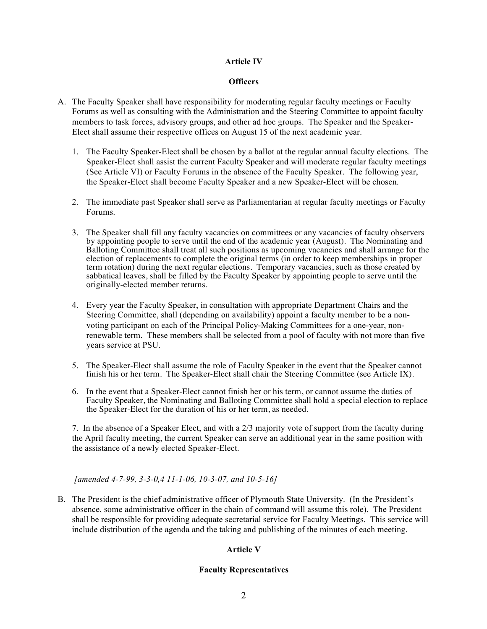# **Article IV**

# **Officers**

- A. The Faculty Speaker shall have responsibility for moderating regular faculty meetings or Faculty Forums as well as consulting with the Administration and the Steering Committee to appoint faculty members to task forces, advisory groups, and other ad hoc groups. The Speaker and the Speaker-Elect shall assume their respective offices on August 15 of the next academic year.
	- 1. The Faculty Speaker-Elect shall be chosen by a ballot at the regular annual faculty elections. The Speaker-Elect shall assist the current Faculty Speaker and will moderate regular faculty meetings (See Article VI) or Faculty Forums in the absence of the Faculty Speaker. The following year, the Speaker-Elect shall become Faculty Speaker and a new Speaker-Elect will be chosen.
	- 2. The immediate past Speaker shall serve as Parliamentarian at regular faculty meetings or Faculty Forums.
	- 3. The Speaker shall fill any faculty vacancies on committees or any vacancies of faculty observers by appointing people to serve until the end of the academic year (August). The Nominating and Balloting Committee shall treat all such positions as upcoming vacancies and shall arrange for the election of replacements to complete the original terms (in order to keep memberships in proper term rotation) during the next regular elections. Temporary vacancies, such as those created by sabbatical leaves, shall be filled by the Faculty Speaker by appointing people to serve until the originally-elected member returns.
	- 4. Every year the Faculty Speaker, in consultation with appropriate Department Chairs and the Steering Committee, shall (depending on availability) appoint a faculty member to be a nonvoting participant on each of the Principal Policy-Making Committees for a one-year, nonrenewable term. These members shall be selected from a pool of faculty with not more than five years service at PSU.
	- 5. The Speaker-Elect shall assume the role of Faculty Speaker in the event that the Speaker cannot finish his or her term. The Speaker-Elect shall chair the Steering Committee (see Article IX).
	- 6. In the event that a Speaker-Elect cannot finish her or his term, or cannot assume the duties of Faculty Speaker, the Nominating and Balloting Committee shall hold a special election to replace the Speaker-Elect for the duration of his or her term, as needed.

7. In the absence of a Speaker Elect, and with a 2/3 majority vote of support from the faculty during the April faculty meeting, the current Speaker can serve an additional year in the same position with the assistance of a newly elected Speaker-Elect.

# *[amended 4-7-99, 3-3-0,4 11-1-06, 10-3-07, and 10-5-16]*

B. The President is the chief administrative officer of Plymouth State University. (In the President's absence, some administrative officer in the chain of command will assume this role). The President shall be responsible for providing adequate secretarial service for Faculty Meetings. This service will include distribution of the agenda and the taking and publishing of the minutes of each meeting.

# **Article V**

# **Faculty Representatives**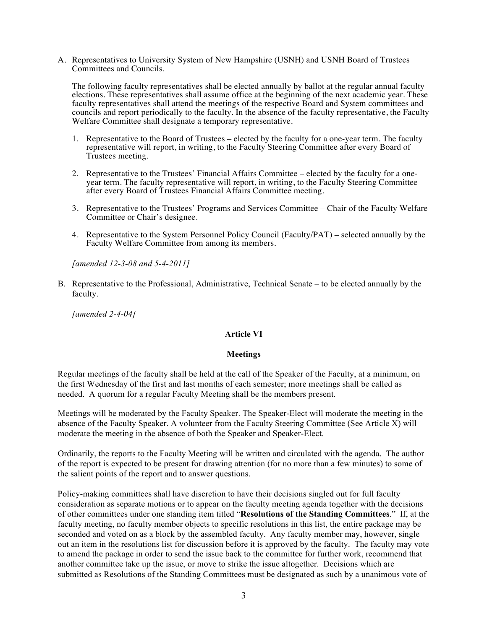A. Representatives to University System of New Hampshire (USNH) and USNH Board of Trustees Committees and Councils.

The following faculty representatives shall be elected annually by ballot at the regular annual faculty elections. These representatives shall assume office at the beginning of the next academic year. These faculty representatives shall attend the meetings of the respective Board and System committees and councils and report periodically to the faculty. In the absence of the faculty representative, the Faculty Welfare Committee shall designate a temporary representative.

- 1. Representative to the Board of Trustees elected by the faculty for a one-year term. The faculty representative will report, in writing, to the Faculty Steering Committee after every Board of Trustees meeting.
- 2. Representative to the Trustees' Financial Affairs Committee elected by the faculty for a oneyear term. The faculty representative will report, in writing, to the Faculty Steering Committee after every Board of Trustees Financial Affairs Committee meeting.
- 3. Representative to the Trustees' Programs and Services Committee Chair of the Faculty Welfare Committee or Chair's designee.
- 4. Representative to the System Personnel Policy Council (Faculty/PAT) selected annually by the Faculty Welfare Committee from among its members.

*[amended 12-3-08 and 5-4-2011]*

B. Representative to the Professional, Administrative, Technical Senate – to be elected annually by the faculty.

*[amended 2-4-04]*

### **Article VI**

### **Meetings**

Regular meetings of the faculty shall be held at the call of the Speaker of the Faculty, at a minimum, on the first Wednesday of the first and last months of each semester; more meetings shall be called as needed. A quorum for a regular Faculty Meeting shall be the members present.

Meetings will be moderated by the Faculty Speaker. The Speaker-Elect will moderate the meeting in the absence of the Faculty Speaker. A volunteer from the Faculty Steering Committee (See Article X) will moderate the meeting in the absence of both the Speaker and Speaker-Elect.

Ordinarily, the reports to the Faculty Meeting will be written and circulated with the agenda. The author of the report is expected to be present for drawing attention (for no more than a few minutes) to some of the salient points of the report and to answer questions.

Policy-making committees shall have discretion to have their decisions singled out for full faculty consideration as separate motions or to appear on the faculty meeting agenda together with the decisions of other committees under one standing item titled "**Resolutions of the Standing Committees**." If, at the faculty meeting, no faculty member objects to specific resolutions in this list, the entire package may be seconded and voted on as a block by the assembled faculty. Any faculty member may, however, single out an item in the resolutions list for discussion before it is approved by the faculty. The faculty may vote to amend the package in order to send the issue back to the committee for further work, recommend that another committee take up the issue, or move to strike the issue altogether. Decisions which are submitted as Resolutions of the Standing Committees must be designated as such by a unanimous vote of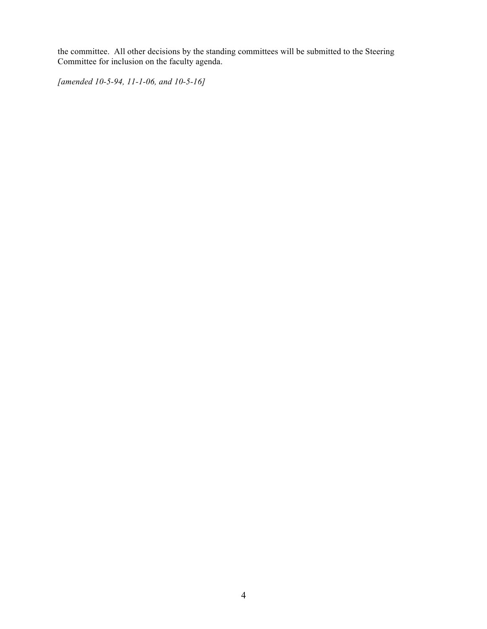the committee. All other decisions by the standing committees will be submitted to the Steering Committee for inclusion on the faculty agenda.

*[amended 10-5-94, 11-1-06, and 10-5-16]*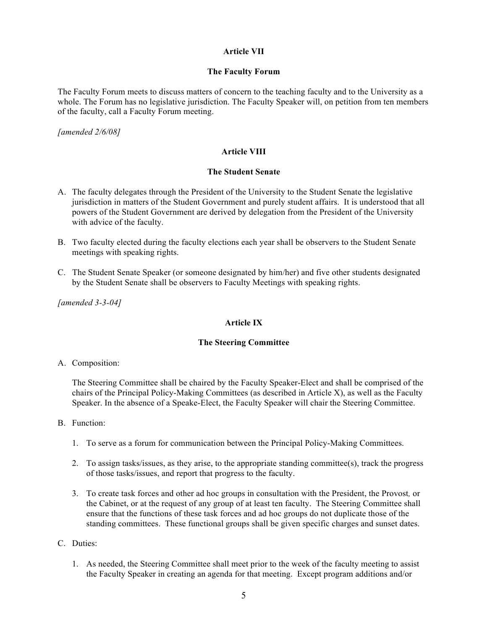# **Article VII**

# **The Faculty Forum**

The Faculty Forum meets to discuss matters of concern to the teaching faculty and to the University as a whole. The Forum has no legislative jurisdiction. The Faculty Speaker will, on petition from ten members of the faculty, call a Faculty Forum meeting.

*[amended 2/6/08]*

# **Article VIII**

## **The Student Senate**

- A. The faculty delegates through the President of the University to the Student Senate the legislative jurisdiction in matters of the Student Government and purely student affairs. It is understood that all powers of the Student Government are derived by delegation from the President of the University with advice of the faculty.
- B. Two faculty elected during the faculty elections each year shall be observers to the Student Senate meetings with speaking rights.
- C. The Student Senate Speaker (or someone designated by him/her) and five other students designated by the Student Senate shall be observers to Faculty Meetings with speaking rights.

*[amended 3-3-04]*

# **Article IX**

### **The Steering Committee**

A. Composition:

The Steering Committee shall be chaired by the Faculty Speaker-Elect and shall be comprised of the chairs of the Principal Policy-Making Committees (as described in Article X), as well as the Faculty Speaker. In the absence of a Speake-Elect, the Faculty Speaker will chair the Steering Committee.

- B. Function:
	- 1. To serve as a forum for communication between the Principal Policy-Making Committees.
	- 2. To assign tasks/issues, as they arise, to the appropriate standing committee(s), track the progress of those tasks/issues, and report that progress to the faculty.
	- 3. To create task forces and other ad hoc groups in consultation with the President, the Provost*,* or the Cabinet, or at the request of any group of at least ten faculty. The Steering Committee shall ensure that the functions of these task forces and ad hoc groups do not duplicate those of the standing committees. These functional groups shall be given specific charges and sunset dates.
- C. Duties:
	- 1. As needed, the Steering Committee shall meet prior to the week of the faculty meeting to assist the Faculty Speaker in creating an agenda for that meeting. Except program additions and/or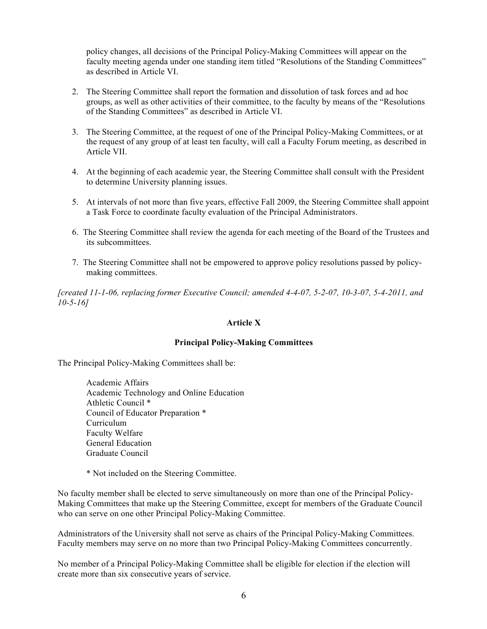policy changes, all decisions of the Principal Policy-Making Committees will appear on the faculty meeting agenda under one standing item titled "Resolutions of the Standing Committees" as described in Article VI.

- 2. The Steering Committee shall report the formation and dissolution of task forces and ad hoc groups, as well as other activities of their committee, to the faculty by means of the "Resolutions of the Standing Committees" as described in Article VI.
- 3. The Steering Committee, at the request of one of the Principal Policy-Making Committees, or at the request of any group of at least ten faculty, will call a Faculty Forum meeting, as described in Article VII.
- 4. At the beginning of each academic year, the Steering Committee shall consult with the President to determine University planning issues.
- 5. At intervals of not more than five years, effective Fall 2009, the Steering Committee shall appoint a Task Force to coordinate faculty evaluation of the Principal Administrators.
- 6. The Steering Committee shall review the agenda for each meeting of the Board of the Trustees and its subcommittees.
- 7. The Steering Committee shall not be empowered to approve policy resolutions passed by policymaking committees.

*[created 11-1-06, replacing former Executive Council; amended 4-4-07, 5-2-07, 10-3-07, 5-4-2011, and 10-5-16]*

# **Article X**

# **Principal Policy-Making Committees**

The Principal Policy-Making Committees shall be:

Academic Affairs Academic Technology and Online Education Athletic Council \* Council of Educator Preparation \* Curriculum Faculty Welfare General Education Graduate Council

\* Not included on the Steering Committee.

No faculty member shall be elected to serve simultaneously on more than one of the Principal Policy-Making Committees that make up the Steering Committee, except for members of the Graduate Council who can serve on one other Principal Policy-Making Committee.

Administrators of the University shall not serve as chairs of the Principal Policy-Making Committees. Faculty members may serve on no more than two Principal Policy-Making Committees concurrently.

No member of a Principal Policy-Making Committee shall be eligible for election if the election will create more than six consecutive years of service.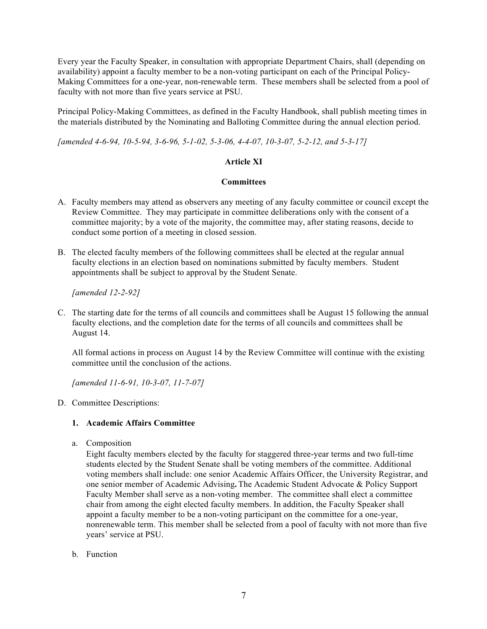Every year the Faculty Speaker, in consultation with appropriate Department Chairs, shall (depending on availability) appoint a faculty member to be a non-voting participant on each of the Principal Policy-Making Committees for a one-year, non-renewable term. These members shall be selected from a pool of faculty with not more than five years service at PSU.

Principal Policy-Making Committees, as defined in the Faculty Handbook, shall publish meeting times in the materials distributed by the Nominating and Balloting Committee during the annual election period.

*[amended 4-6-94, 10-5-94, 3-6-96, 5-1-02, 5-3-06, 4-4-07, 10-3-07, 5-2-12, and 5-3-17]*

# **Article XI**

# **Committees**

- A. Faculty members may attend as observers any meeting of any faculty committee or council except the Review Committee. They may participate in committee deliberations only with the consent of a committee majority; by a vote of the majority, the committee may, after stating reasons, decide to conduct some portion of a meeting in closed session.
- B. The elected faculty members of the following committees shall be elected at the regular annual faculty elections in an election based on nominations submitted by faculty members. Student appointments shall be subject to approval by the Student Senate.

*[amended 12-2-92]*

C. The starting date for the terms of all councils and committees shall be August 15 following the annual faculty elections, and the completion date for the terms of all councils and committees shall be August 14.

All formal actions in process on August 14 by the Review Committee will continue with the existing committee until the conclusion of the actions.

*[amended 11-6-91, 10-3-07, 11-7-07]*

D. Committee Descriptions:

# **1. Academic Affairs Committee**

a. Composition

Eight faculty members elected by the faculty for staggered three-year terms and two full-time students elected by the Student Senate shall be voting members of the committee. Additional voting members shall include: one senior Academic Affairs Officer, the University Registrar, and one senior member of Academic Advising**.** The Academic Student Advocate & Policy Support Faculty Member shall serve as a non-voting member. The committee shall elect a committee chair from among the eight elected faculty members. In addition, the Faculty Speaker shall appoint a faculty member to be a non-voting participant on the committee for a one-year, nonrenewable term. This member shall be selected from a pool of faculty with not more than five years' service at PSU.

b. Function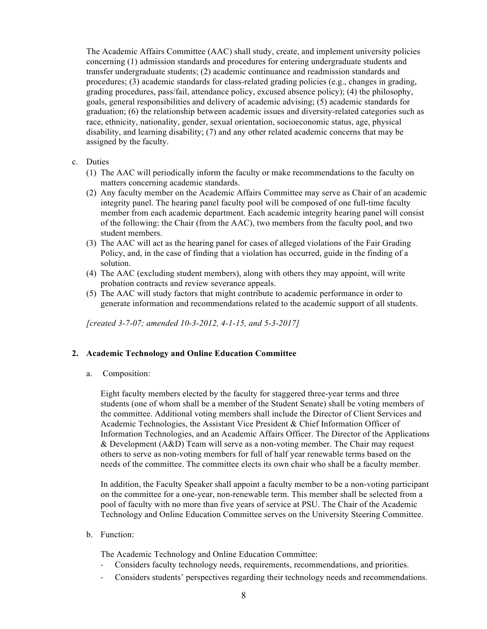The Academic Affairs Committee (AAC) shall study, create, and implement university policies concerning (1) admission standards and procedures for entering undergraduate students and transfer undergraduate students; (2) academic continuance and readmission standards and procedures; (3) academic standards for class-related grading policies (e.g., changes in grading, grading procedures, pass/fail, attendance policy, excused absence policy); (4) the philosophy, goals, general responsibilities and delivery of academic advising; (5) academic standards for graduation; (6) the relationship between academic issues and diversity-related categories such as race, ethnicity, nationality, gender, sexual orientation, socioeconomic status, age, physical disability, and learning disability; (7) and any other related academic concerns that may be assigned by the faculty.

# c. Duties

- (1) The AAC will periodically inform the faculty or make recommendations to the faculty on matters concerning academic standards.
- (2) Any faculty member on the Academic Affairs Committee may serve as Chair of an academic integrity panel. The hearing panel faculty pool will be composed of one full-time faculty member from each academic department. Each academic integrity hearing panel will consist of the following: the Chair (from the AAC), two members from the faculty pool, and two student members.
- (3) The AAC will act as the hearing panel for cases of alleged violations of the Fair Grading Policy, and, in the case of finding that a violation has occurred, guide in the finding of a solution.
- (4) The AAC (excluding student members), along with others they may appoint, will write probation contracts and review severance appeals.
- (5) The AAC will study factors that might contribute to academic performance in order to generate information and recommendations related to the academic support of all students.

*[created 3-7-07; amended 10-3-2012, 4-1-15, and 5-3-2017]*

# **2. Academic Technology and Online Education Committee**

a. Composition:

Eight faculty members elected by the faculty for staggered three-year terms and three students (one of whom shall be a member of the Student Senate) shall be voting members of the committee. Additional voting members shall include the Director of Client Services and Academic Technologies, the Assistant Vice President & Chief Information Officer of Information Technologies, and an Academic Affairs Officer. The Director of the Applications & Development (A&D) Team will serve as a non-voting member. The Chair may request others to serve as non-voting members for full of half year renewable terms based on the needs of the committee. The committee elects its own chair who shall be a faculty member.

In addition, the Faculty Speaker shall appoint a faculty member to be a non-voting participant on the committee for a one-year, non-renewable term. This member shall be selected from a pool of faculty with no more than five years of service at PSU. The Chair of the Academic Technology and Online Education Committee serves on the University Steering Committee.

b. Function:

The Academic Technology and Online Education Committee:

- Considers faculty technology needs, requirements, recommendations, and priorities.
- Considers students' perspectives regarding their technology needs and recommendations.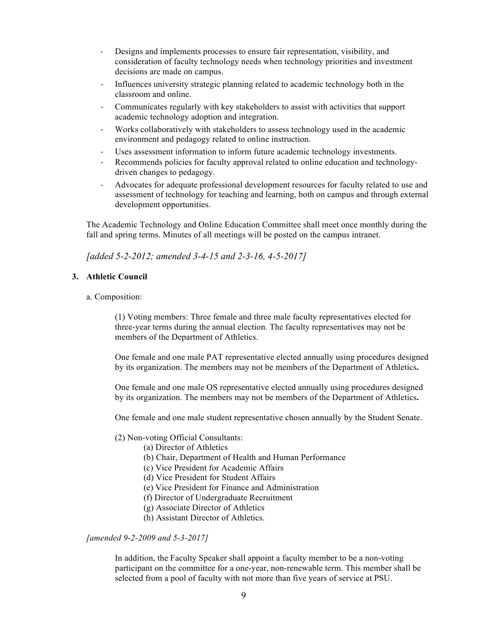- Designs and implements processes to ensure fair representation, visibility, and consideration of faculty technology needs when technology priorities and investment decisions are made on campus.
- Influences university strategic planning related to academic technology both in the classroom and online.
- Communicates regularly with key stakeholders to assist with activities that support academic technology adoption and integration.
- Works collaboratively with stakeholders to assess technology used in the academic environment and pedagogy related to online instruction.
- Uses assessment information to inform future academic technology investments.
- Recommends policies for faculty approval related to online education and technologydriven changes to pedagogy.
- Advocates for adequate professional development resources for faculty related to use and assessment of technology for teaching and learning, both on campus and through external development opportunities.

The Academic Technology and Online Education Committee shall meet once monthly during the fall and spring terms. Minutes of all meetings will be posted on the campus intranet.

*[added 5-2-2012; amended 3-4-15 and 2-3-16, 4-5-2017]*

# **3. Athletic Council**

### a. Composition:

(1) Voting members: Three female and three male faculty representatives elected for three-year terms during the annual election. The faculty representatives may not be members of the Department of Athletics.

One female and one male PAT representative elected annually using procedures designed by its organization. The members may not be members of the Department of Athletics**.**

One female and one male OS representative elected annually using procedures designed by its organization. The members may not be members of the Department of Athletics**.**

One female and one male student representative chosen annually by the Student Senate.

# (2) Non-voting Official Consultants:

- (a) Director of Athletics
- (b) Chair, Department of Health and Human Performance
- (c) Vice President for Academic Affairs
- (d) Vice President for Student Affairs
- (e) Vice President for Finance and Administration
- (f) Director of Undergraduate Recruitment
- (g) Associate Director of Athletics
- (h) Assistant Director of Athletics.

*[amended 9-2-2009 and 5-3-2017]*

In addition, the Faculty Speaker shall appoint a faculty member to be a non-voting participant on the committee for a one-year, non-renewable term. This member shall be selected from a pool of faculty with not more than five years of service at PSU.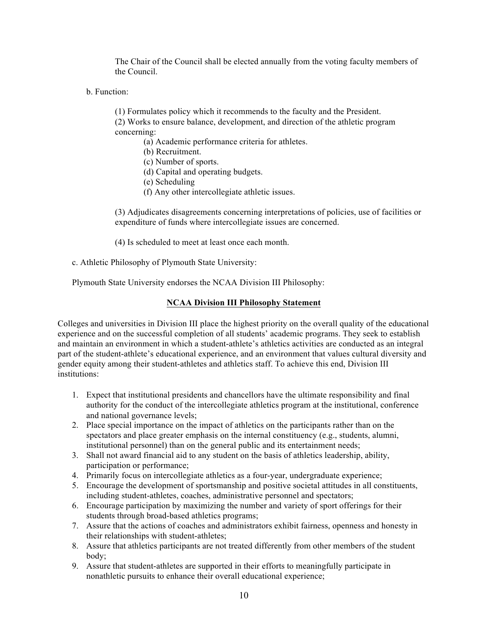The Chair of the Council shall be elected annually from the voting faculty members of the Council.

b. Function:

(1) Formulates policy which it recommends to the faculty and the President.

(2) Works to ensure balance, development, and direction of the athletic program concerning:

(a) Academic performance criteria for athletes.

- (b) Recruitment.
- (c) Number of sports.
- (d) Capital and operating budgets.
- (e) Scheduling
- (f) Any other intercollegiate athletic issues.

(3) Adjudicates disagreements concerning interpretations of policies, use of facilities or expenditure of funds where intercollegiate issues are concerned.

(4) Is scheduled to meet at least once each month.

c. Athletic Philosophy of Plymouth State University:

Plymouth State University endorses the NCAA Division III Philosophy:

# **NCAA Division III Philosophy Statement**

Colleges and universities in Division III place the highest priority on the overall quality of the educational experience and on the successful completion of all students' academic programs. They seek to establish and maintain an environment in which a student-athlete's athletics activities are conducted as an integral part of the student-athlete's educational experience, and an environment that values cultural diversity and gender equity among their student-athletes and athletics staff. To achieve this end, Division III institutions:

- 1. Expect that institutional presidents and chancellors have the ultimate responsibility and final authority for the conduct of the intercollegiate athletics program at the institutional, conference and national governance levels;
- 2. Place special importance on the impact of athletics on the participants rather than on the spectators and place greater emphasis on the internal constituency (e.g., students, alumni, institutional personnel) than on the general public and its entertainment needs;
- 3. Shall not award financial aid to any student on the basis of athletics leadership, ability, participation or performance;
- 4. Primarily focus on intercollegiate athletics as a four-year, undergraduate experience;
- 5. Encourage the development of sportsmanship and positive societal attitudes in all constituents, including student-athletes, coaches, administrative personnel and spectators;
- 6. Encourage participation by maximizing the number and variety of sport offerings for their students through broad-based athletics programs;
- 7. Assure that the actions of coaches and administrators exhibit fairness, openness and honesty in their relationships with student-athletes;
- 8. Assure that athletics participants are not treated differently from other members of the student body;
- 9. Assure that student-athletes are supported in their efforts to meaningfully participate in nonathletic pursuits to enhance their overall educational experience;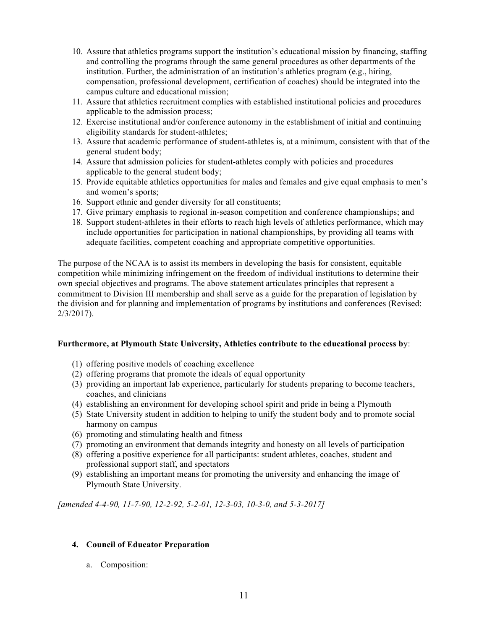- 10. Assure that athletics programs support the institution's educational mission by financing, staffing and controlling the programs through the same general procedures as other departments of the institution. Further, the administration of an institution's athletics program (e.g., hiring, compensation, professional development, certification of coaches) should be integrated into the campus culture and educational mission;
- 11. Assure that athletics recruitment complies with established institutional policies and procedures applicable to the admission process;
- 12. Exercise institutional and/or conference autonomy in the establishment of initial and continuing eligibility standards for student-athletes;
- 13. Assure that academic performance of student-athletes is, at a minimum, consistent with that of the general student body;
- 14. Assure that admission policies for student-athletes comply with policies and procedures applicable to the general student body;
- 15. Provide equitable athletics opportunities for males and females and give equal emphasis to men's and women's sports;
- 16. Support ethnic and gender diversity for all constituents;
- 17. Give primary emphasis to regional in-season competition and conference championships; and
- 18. Support student-athletes in their efforts to reach high levels of athletics performance, which may include opportunities for participation in national championships, by providing all teams with adequate facilities, competent coaching and appropriate competitive opportunities.

The purpose of the NCAA is to assist its members in developing the basis for consistent, equitable competition while minimizing infringement on the freedom of individual institutions to determine their own special objectives and programs. The above statement articulates principles that represent a commitment to Division III membership and shall serve as a guide for the preparation of legislation by the division and for planning and implementation of programs by institutions and conferences (Revised: 2/3/2017).

### **Furthermore, at Plymouth State University, Athletics contribute to the educational process b**y:

- (1) offering positive models of coaching excellence
- (2) offering programs that promote the ideals of equal opportunity
- (3) providing an important lab experience, particularly for students preparing to become teachers, coaches, and clinicians
- (4) establishing an environment for developing school spirit and pride in being a Plymouth
- (5) State University student in addition to helping to unify the student body and to promote social harmony on campus
- (6) promoting and stimulating health and fitness
- (7) promoting an environment that demands integrity and honesty on all levels of participation
- (8) offering a positive experience for all participants: student athletes, coaches, student and professional support staff, and spectators
- (9) establishing an important means for promoting the university and enhancing the image of Plymouth State University.

*[amended 4-4-90, 11-7-90, 12-2-92, 5-2-01, 12-3-03, 10-3-0, and 5-3-2017]*

### **4. Council of Educator Preparation**

a. Composition: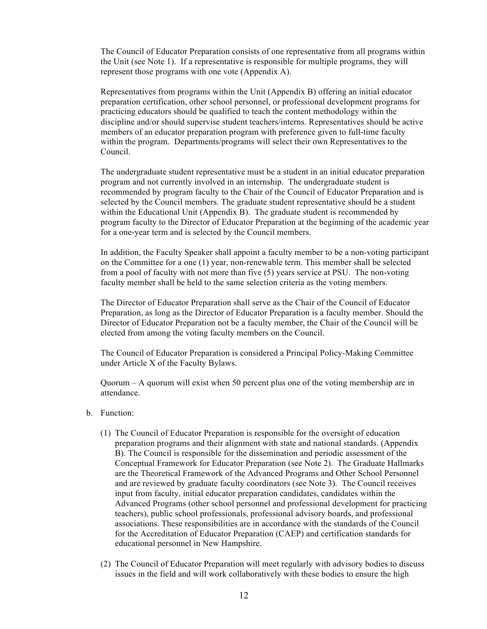The Council of Educator Preparation consists of one representative from all programs within the Unit (see Note 1). If a representative is responsible for multiple programs, they will represent those programs with one vote (Appendix A).

Representatives from programs within the Unit (Appendix B) offering an initial educator preparation certification, other school personnel, or professional development programs for practicing educators should be qualified to teach the content methodology within the discipline and/or should supervise student teachers/interns. Representatives should be active members of an educator preparation program with preference given to full-time faculty within the program. Departments/programs will select their own Representatives to the Council.

The undergraduate student representative must be a student in an initial educator preparation program and not currently involved in an internship. The undergraduate student is recommended by program faculty to the Chair of the Council of Educator Preparation and is selected by the Council members. The graduate student representative should be a student within the Educational Unit (Appendix B). The graduate student is recommended by program faculty to the Director of Educator Preparation at the beginning of the academic year for a one-year term and is selected by the Council members.

In addition, the Faculty Speaker shall appoint a faculty member to be a non-voting participant on the Committee for a one (1) year, non-renewable term. This member shall be selected from a pool of faculty with not more than five (5) years service at PSU. The non-voting faculty member shall be held to the same selection criteria as the voting members.

The Director of Educator Preparation shall serve as the Chair of the Council of Educator Preparation, as long as the Director of Educator Preparation is a faculty member. Should the Director of Educator Preparation not be a faculty member, the Chair of the Council will be elected from among the voting faculty members on the Council.

The Council of Educator Preparation is considered a Principal Policy-Making Committee under Article X of the Faculty Bylaws.

Quorum – A quorum will exist when 50 percent plus one of the voting membership are in attendance.

- b. Function:
	- (1) The Council of Educator Preparation is responsible for the oversight of education preparation programs and their alignment with state and national standards. (Appendix B). The Council is responsible for the dissemination and periodic assessment of the Conceptual Framework for Educator Preparation (see Note 2). The Graduate Hallmarks are the Theoretical Framework of the Advanced Programs and Other School Personnel and are reviewed by graduate faculty coordinators (see Note 3). The Council receives input from faculty, initial educator preparation candidates, candidates within the Advanced Programs (other school personnel and professional development for practicing teachers), public school professionals, professional advisory boards, and professional associations. These responsibilities are in accordance with the standards of the Council for the Accreditation of Educator Preparation (CAEP) and certification standards for educational personnel in New Hampshire.
	- (2) The Council of Educator Preparation will meet regularly with advisory bodies to discuss issues in the field and will work collaboratively with these bodies to ensure the high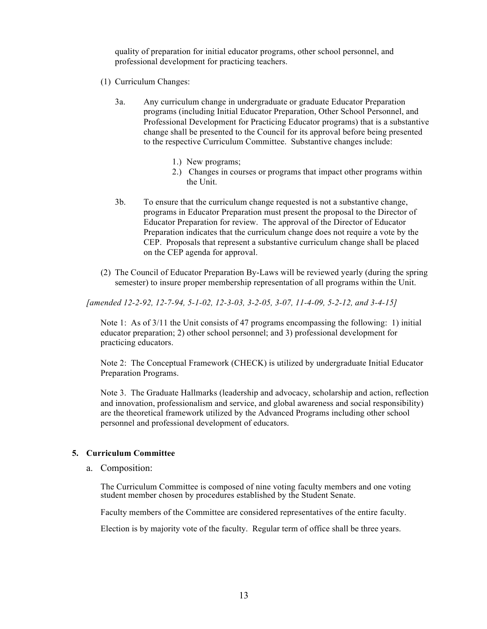quality of preparation for initial educator programs, other school personnel, and professional development for practicing teachers.

- (1) Curriculum Changes:
	- 3a. Any curriculum change in undergraduate or graduate Educator Preparation programs (including Initial Educator Preparation, Other School Personnel, and Professional Development for Practicing Educator programs) that is a substantive change shall be presented to the Council for its approval before being presented to the respective Curriculum Committee. Substantive changes include:
		- 1.) New programs;
		- 2.) Changes in courses or programs that impact other programs within the Unit.
	- 3b. To ensure that the curriculum change requested is not a substantive change, programs in Educator Preparation must present the proposal to the Director of Educator Preparation for review. The approval of the Director of Educator Preparation indicates that the curriculum change does not require a vote by the CEP. Proposals that represent a substantive curriculum change shall be placed on the CEP agenda for approval.
- (2) The Council of Educator Preparation By-Laws will be reviewed yearly (during the spring semester) to insure proper membership representation of all programs within the Unit.

*[amended 12-2-92, 12-7-94, 5-1-02, 12-3-03, 3-2-05, 3-07, 11-4-09, 5-2-12, and 3-4-15]* 

Note 1: As of 3/11 the Unit consists of 47 programs encompassing the following: 1) initial educator preparation; 2) other school personnel; and 3) professional development for practicing educators.

Note 2: The Conceptual Framework (CHECK) is utilized by undergraduate Initial Educator Preparation Programs.

Note 3. The Graduate Hallmarks (leadership and advocacy, scholarship and action, reflection and innovation, professionalism and service, and global awareness and social responsibility) are the theoretical framework utilized by the Advanced Programs including other school personnel and professional development of educators.

#### **5. Curriculum Committee**

a. Composition:

The Curriculum Committee is composed of nine voting faculty members and one voting student member chosen by procedures established by the Student Senate.

Faculty members of the Committee are considered representatives of the entire faculty.

Election is by majority vote of the faculty. Regular term of office shall be three years.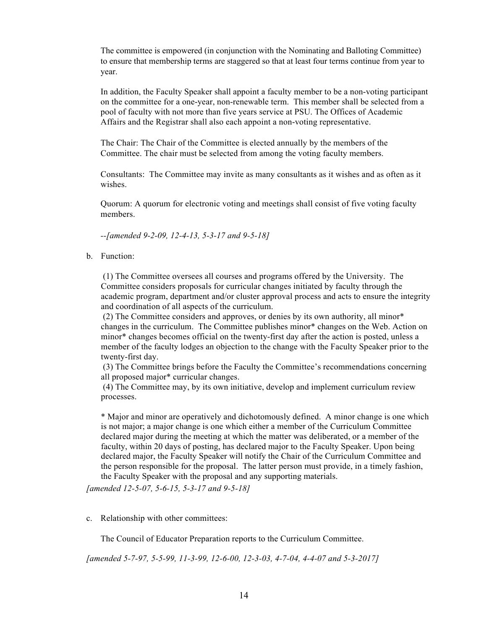The committee is empowered (in conjunction with the Nominating and Balloting Committee) to ensure that membership terms are staggered so that at least four terms continue from year to year.

In addition, the Faculty Speaker shall appoint a faculty member to be a non-voting participant on the committee for a one-year, non-renewable term. This member shall be selected from a pool of faculty with not more than five years service at PSU. The Offices of Academic Affairs and the Registrar shall also each appoint a non-voting representative.

The Chair: The Chair of the Committee is elected annually by the members of the Committee. The chair must be selected from among the voting faculty members.

Consultants: The Committee may invite as many consultants as it wishes and as often as it wishes.

Quorum: A quorum for electronic voting and meetings shall consist of five voting faculty members.

*--[amended 9-2-09, 12-4-13, 5-3-17 and 9-5-18]* 

b. Function:

(1) The Committee oversees all courses and programs offered by the University. The Committee considers proposals for curricular changes initiated by faculty through the academic program, department and/or cluster approval process and acts to ensure the integrity and coordination of all aspects of the curriculum.

(2) The Committee considers and approves, or denies by its own authority, all minor\* changes in the curriculum. The Committee publishes minor\* changes on the Web. Action on minor\* changes becomes official on the twenty-first day after the action is posted, unless a member of the faculty lodges an objection to the change with the Faculty Speaker prior to the twenty-first day.

(3) The Committee brings before the Faculty the Committee's recommendations concerning all proposed major\* curricular changes.

(4) The Committee may, by its own initiative, develop and implement curriculum review processes.

\* Major and minor are operatively and dichotomously defined. A minor change is one which is not major; a major change is one which either a member of the Curriculum Committee declared major during the meeting at which the matter was deliberated, or a member of the faculty, within 20 days of posting, has declared major to the Faculty Speaker. Upon being declared major, the Faculty Speaker will notify the Chair of the Curriculum Committee and the person responsible for the proposal. The latter person must provide, in a timely fashion, the Faculty Speaker with the proposal and any supporting materials.

*[amended 12-5-07, 5-6-15, 5-3-17 and 9-5-18]* 

c. Relationship with other committees:

The Council of Educator Preparation reports to the Curriculum Committee.

*[amended 5-7-97, 5-5-99, 11-3-99, 12-6-00, 12-3-03, 4-7-04, 4-4-07 and 5-3-2017]*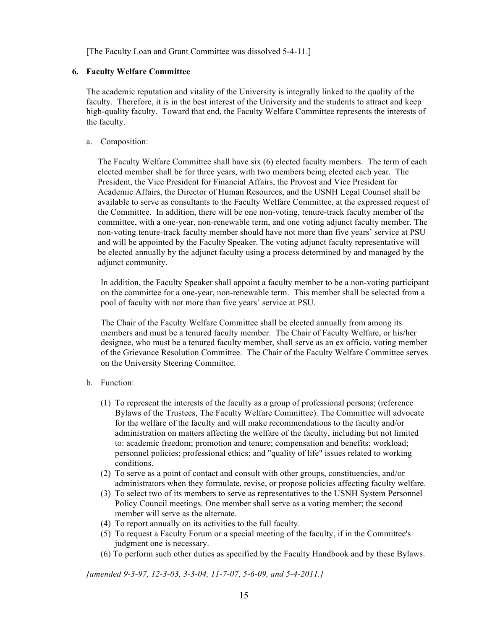[The Faculty Loan and Grant Committee was dissolved 5-4-11.]

# **6. Faculty Welfare Committee**

The academic reputation and vitality of the University is integrally linked to the quality of the faculty. Therefore, it is in the best interest of the University and the students to attract and keep high-quality faculty. Toward that end, the Faculty Welfare Committee represents the interests of the faculty.

# a. Composition:

The Faculty Welfare Committee shall have six (6) elected faculty members. The term of each elected member shall be for three years, with two members being elected each year. The President, the Vice President for Financial Affairs, the Provost and Vice President for Academic Affairs, the Director of Human Resources, and the USNH Legal Counsel shall be available to serve as consultants to the Faculty Welfare Committee, at the expressed request of the Committee. In addition, there will be one non-voting, tenure-track faculty member of the committee, with a one-year, non-renewable term, and one voting adjunct faculty member. The non-voting tenure-track faculty member should have not more than five years' service at PSU and will be appointed by the Faculty Speaker. The voting adjunct faculty representative will be elected annually by the adjunct faculty using a process determined by and managed by the adjunct community.

In addition, the Faculty Speaker shall appoint a faculty member to be a non-voting participant on the committee for a one-year, non-renewable term. This member shall be selected from a pool of faculty with not more than five years' service at PSU.

The Chair of the Faculty Welfare Committee shall be elected annually from among its members and must be a tenured faculty member. The Chair of Faculty Welfare, or his/her designee, who must be a tenured faculty member, shall serve as an ex officio, voting member of the Grievance Resolution Committee. The Chair of the Faculty Welfare Committee serves on the University Steering Committee.

### b. Function:

- (1) To represent the interests of the faculty as a group of professional persons; (reference Bylaws of the Trustees, The Faculty Welfare Committee). The Committee will advocate for the welfare of the faculty and will make recommendations to the faculty and/or administration on matters affecting the welfare of the faculty, including but not limited to: academic freedom; promotion and tenure; compensation and benefits; workload; personnel policies; professional ethics; and "quality of life" issues related to working conditions.
- (2) To serve as a point of contact and consult with other groups, constituencies, and/or administrators when they formulate, revise, or propose policies affecting faculty welfare.
- (3) To select two of its members to serve as representatives to the USNH System Personnel Policy Council meetings. One member shall serve as a voting member; the second member will serve as the alternate.
- (4) To report annually on its activities to the full faculty.
- (5) To request a Faculty Forum or a special meeting of the faculty, if in the Committee's judgment one is necessary.
- (6) To perform such other duties as specified by the Faculty Handbook and by these Bylaws.

*[amended 9-3-97, 12-3-03, 3-3-04, 11-7-07, 5-6-09, and 5-4-2011.]*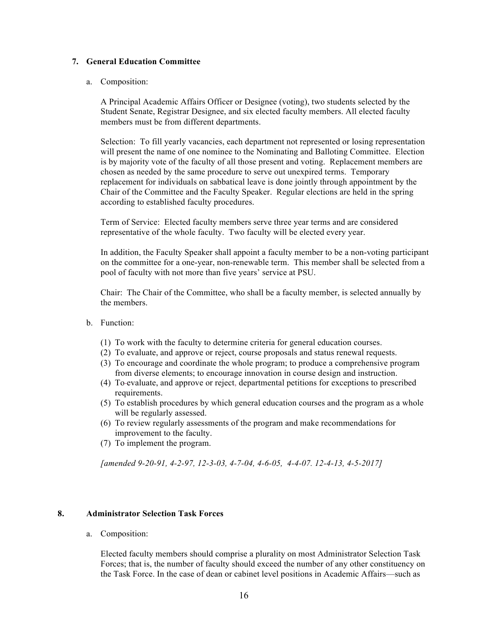# **7. General Education Committee**

# a. Composition:

A Principal Academic Affairs Officer or Designee (voting), two students selected by the Student Senate, Registrar Designee, and six elected faculty members. All elected faculty members must be from different departments.

Selection: To fill yearly vacancies, each department not represented or losing representation will present the name of one nominee to the Nominating and Balloting Committee. Election is by majority vote of the faculty of all those present and voting. Replacement members are chosen as needed by the same procedure to serve out unexpired terms. Temporary replacement for individuals on sabbatical leave is done jointly through appointment by the Chair of the Committee and the Faculty Speaker. Regular elections are held in the spring according to established faculty procedures.

Term of Service: Elected faculty members serve three year terms and are considered representative of the whole faculty. Two faculty will be elected every year.

In addition, the Faculty Speaker shall appoint a faculty member to be a non-voting participant on the committee for a one-year, non-renewable term. This member shall be selected from a pool of faculty with not more than five years' service at PSU.

Chair: The Chair of the Committee, who shall be a faculty member, is selected annually by the members.

- b. Function:
	- (1) To work with the faculty to determine criteria for general education courses.
	- (2) To evaluate, and approve or reject, course proposals and status renewal requests.
	- (3) To encourage and coordinate the whole program; to produce a comprehensive program from diverse elements; to encourage innovation in course design and instruction.
	- (4) To evaluate, and approve or reject, departmental petitions for exceptions to prescribed requirements.
	- (5) To establish procedures by which general education courses and the program as a whole will be regularly assessed.
	- (6) To review regularly assessments of the program and make recommendations for improvement to the faculty.
	- (7) To implement the program.

*[amended 9-20-91, 4-2-97, 12-3-03, 4-7-04, 4-6-05, 4-4-07. 12-4-13, 4-5-2017]*

# **8. Administrator Selection Task Forces**

a. Composition:

Elected faculty members should comprise a plurality on most Administrator Selection Task Forces; that is, the number of faculty should exceed the number of any other constituency on the Task Force. In the case of dean or cabinet level positions in Academic Affairs—such as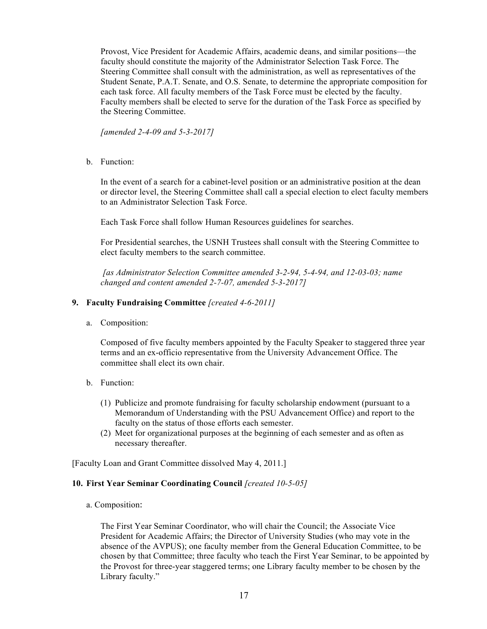Provost, Vice President for Academic Affairs, academic deans, and similar positions—the faculty should constitute the majority of the Administrator Selection Task Force. The Steering Committee shall consult with the administration, as well as representatives of the Student Senate, P.A.T. Senate, and O.S. Senate, to determine the appropriate composition for each task force. All faculty members of the Task Force must be elected by the faculty. Faculty members shall be elected to serve for the duration of the Task Force as specified by the Steering Committee.

*[amended 2-4-09 and 5-3-2017]*

b. Function:

In the event of a search for a cabinet-level position or an administrative position at the dean or director level, the Steering Committee shall call a special election to elect faculty members to an Administrator Selection Task Force.

Each Task Force shall follow Human Resources guidelines for searches.

For Presidential searches, the USNH Trustees shall consult with the Steering Committee to elect faculty members to the search committee.

*[as Administrator Selection Committee amended 3-2-94, 5-4-94, and 12-03-03; name changed and content amended 2-7-07, amended 5-3-2017]*

# **9. Faculty Fundraising Committee** *[created 4-6-2011]*

a. Composition:

Composed of five faculty members appointed by the Faculty Speaker to staggered three year terms and an ex-officio representative from the University Advancement Office. The committee shall elect its own chair.

- b. Function:
	- (1) Publicize and promote fundraising for faculty scholarship endowment (pursuant to a Memorandum of Understanding with the PSU Advancement Office) and report to the faculty on the status of those efforts each semester.
	- (2) Meet for organizational purposes at the beginning of each semester and as often as necessary thereafter.

[Faculty Loan and Grant Committee dissolved May 4, 2011.]

### **10. First Year Seminar Coordinating Council** *[created 10-5-05]*

a. Composition: 

The First Year Seminar Coordinator, who will chair the Council; the Associate Vice President for Academic Affairs; the Director of University Studies (who may vote in the absence of the AVPUS); one faculty member from the General Education Committee, to be chosen by that Committee; three faculty who teach the First Year Seminar, to be appointed by the Provost for three-year staggered terms; one Library faculty member to be chosen by the Library faculty."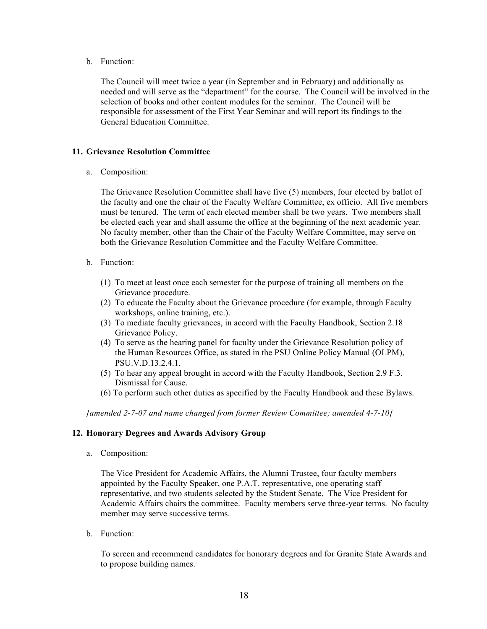b. Function:

The Council will meet twice a year (in September and in February) and additionally as needed and will serve as the "department" for the course. The Council will be involved in the selection of books and other content modules for the seminar. The Council will be responsible for assessment of the First Year Seminar and will report its findings to the General Education Committee.

# **11. Grievance Resolution Committee**

a. Composition:

The Grievance Resolution Committee shall have five (5) members, four elected by ballot of the faculty and one the chair of the Faculty Welfare Committee, ex officio. All five members must be tenured. The term of each elected member shall be two years. Two members shall be elected each year and shall assume the office at the beginning of the next academic year. No faculty member, other than the Chair of the Faculty Welfare Committee, may serve on both the Grievance Resolution Committee and the Faculty Welfare Committee.

- b. Function:
	- (1) To meet at least once each semester for the purpose of training all members on the Grievance procedure.
	- (2) To educate the Faculty about the Grievance procedure (for example, through Faculty workshops, online training, etc.).
	- (3) To mediate faculty grievances, in accord with the Faculty Handbook, Section 2.18 Grievance Policy.
	- (4) To serve as the hearing panel for faculty under the Grievance Resolution policy of the Human Resources Office, as stated in the PSU Online Policy Manual (OLPM), PSU.V.D.13.2.4.1.
	- (5) To hear any appeal brought in accord with the Faculty Handbook, Section 2.9 F.3. Dismissal for Cause.
	- (6) To perform such other duties as specified by the Faculty Handbook and these Bylaws.

*[amended 2-7-07 and name changed from former Review Committee; amended 4-7-10]*

# **12. Honorary Degrees and Awards Advisory Group**

a. Composition:

The Vice President for Academic Affairs, the Alumni Trustee, four faculty members appointed by the Faculty Speaker, one P.A.T. representative, one operating staff representative, and two students selected by the Student Senate. The Vice President for Academic Affairs chairs the committee. Faculty members serve three-year terms. No faculty member may serve successive terms.

b. Function:

To screen and recommend candidates for honorary degrees and for Granite State Awards and to propose building names.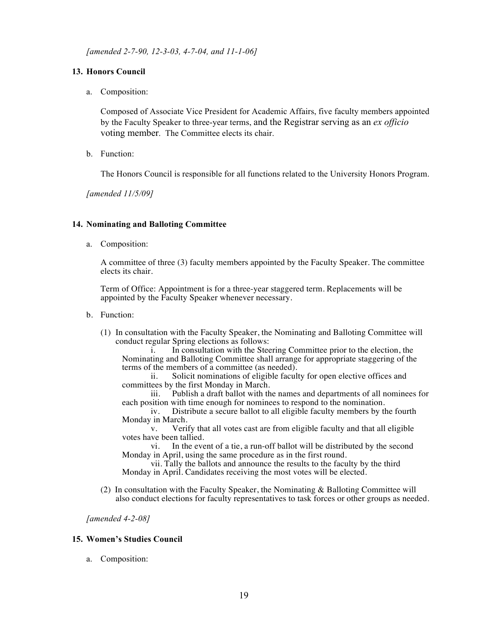*[amended 2-7-90, 12-3-03, 4-7-04, and 11-1-06]*

# **13. Honors Council**

a. Composition:

Composed of Associate Vice President for Academic Affairs, five faculty members appointed by the Faculty Speaker to three-year terms, and the Registrar serving as an *ex officio* voting member. The Committee elects its chair.

b. Function:

The Honors Council is responsible for all functions related to the University Honors Program.

*[amended 11/5/09]*

### **14. Nominating and Balloting Committee**

a. Composition:

A committee of three (3) faculty members appointed by the Faculty Speaker. The committee elects its chair.

Term of Office: Appointment is for a three-year staggered term. Replacements will be appointed by the Faculty Speaker whenever necessary.

- b. Function:
	- (1) In consultation with the Faculty Speaker, the Nominating and Balloting Committee will conduct regular Spring elections as follows:

i. In consultation with the Steering Committee prior to the election, the Nominating and Balloting Committee shall arrange for appropriate staggering of the terms of the members of a committee (as needed).<br>ii. Solicit nominations of eligible facult

Solicit nominations of eligible faculty for open elective offices and committees by the first Monday in March.

iii. Publish a draft ballot with the names and departments of all nominees for each position with time enough for nominees to respond to the nomination.<br>iv. Distribute a secure ballot to all eligible faculty members by the

Distribute a secure ballot to all eligible faculty members by the fourth Monday in March.<br>v. Veri

Verify that all votes cast are from eligible faculty and that all eligible votes have been tallied.

vi. In the event of a tie, a run-off ballot will be distributed by the second Monday in April, using the same procedure as in the first round.

vii. Tally the ballots and announce the results to the faculty by the third Monday in April. Candidates receiving the most votes will be elected.

(2) In consultation with the Faculty Speaker, the Nominating & Balloting Committee will also conduct elections for faculty representatives to task forces or other groups as needed.

*[amended 4-2-08]*

### **15. Women's Studies Council**

a. Composition: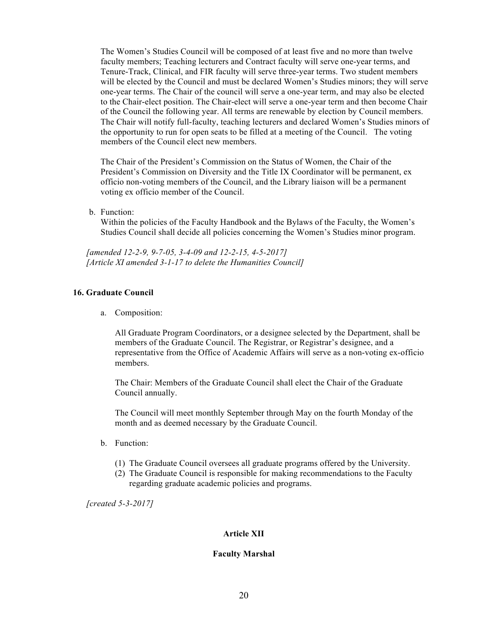The Women's Studies Council will be composed of at least five and no more than twelve faculty members; Teaching lecturers and Contract faculty will serve one-year terms, and Tenure-Track, Clinical, and FIR faculty will serve three-year terms. Two student members will be elected by the Council and must be declared Women's Studies minors; they will serve one-year terms. The Chair of the council will serve a one-year term, and may also be elected to the Chair-elect position. The Chair-elect will serve a one-year term and then become Chair of the Council the following year. All terms are renewable by election by Council members. The Chair will notify full-faculty, teaching lecturers and declared Women's Studies minors of the opportunity to run for open seats to be filled at a meeting of the Council. The voting members of the Council elect new members.

The Chair of the President's Commission on the Status of Women, the Chair of the President's Commission on Diversity and the Title IX Coordinator will be permanent, ex officio non-voting members of the Council, and the Library liaison will be a permanent voting ex officio member of the Council.

b. Function:

Within the policies of the Faculty Handbook and the Bylaws of the Faculty, the Women's Studies Council shall decide all policies concerning the Women's Studies minor program.

*[amended 12-2-9, 9-7-05, 3-4-09 and 12-2-15, 4-5-2017] [Article XI amended 3-1-17 to delete the Humanities Council]*

# **16. Graduate Council**

a. Composition:

All Graduate Program Coordinators, or a designee selected by the Department, shall be members of the Graduate Council. The Registrar, or Registrar's designee, and a representative from the Office of Academic Affairs will serve as a non-voting ex-officio members.

The Chair: Members of the Graduate Council shall elect the Chair of the Graduate Council annually.

The Council will meet monthly September through May on the fourth Monday of the month and as deemed necessary by the Graduate Council.

- b. Function:
	- (1) The Graduate Council oversees all graduate programs offered by the University.
	- (2) The Graduate Council is responsible for making recommendations to the Faculty regarding graduate academic policies and programs.

*[created 5-3-2017]*

### **Article XII**

#### **Faculty Marshal**